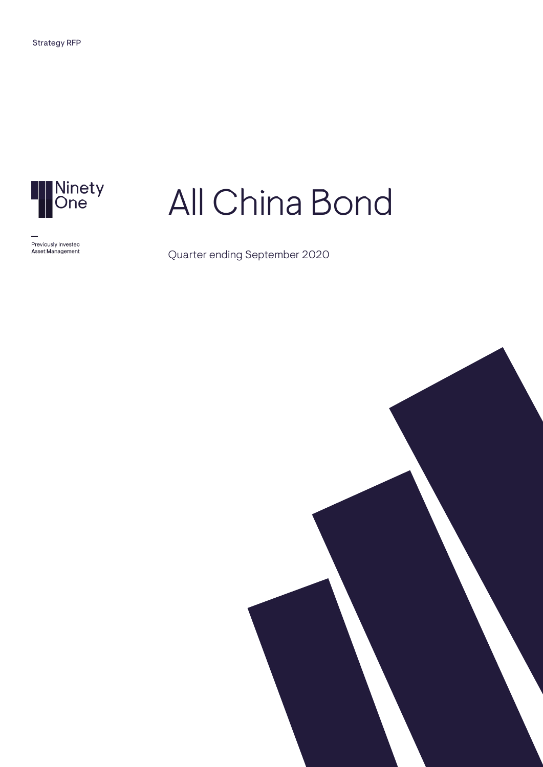

Previously Investec<br>Asset Management

# All China Bond

Quarter ending September 2020

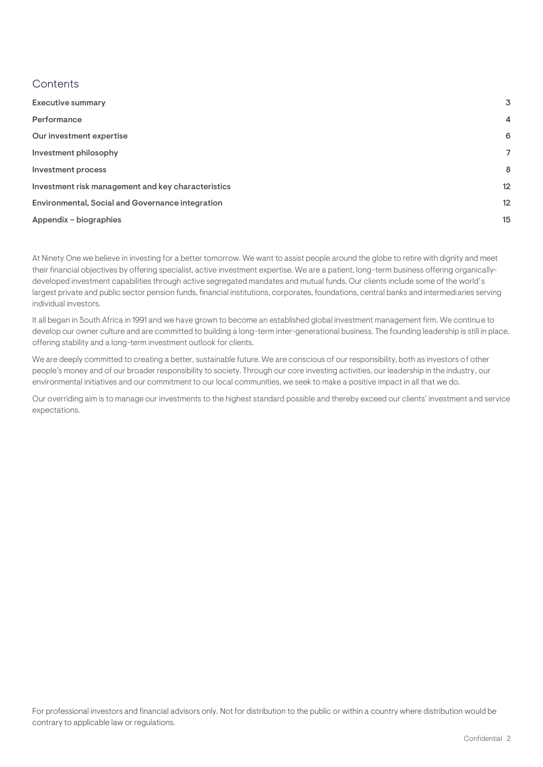#### **Contents**

| <b>Executive summary</b>                           | 3              |
|----------------------------------------------------|----------------|
| Performance                                        | $\overline{4}$ |
| Our investment expertise                           | 6              |
| Investment philosophy                              | 7              |
| Investment process                                 | 8              |
| Investment risk management and key characteristics | 12             |
| Environmental, Social and Governance integration   | 12             |
| Appendix – biographies                             | 15             |
|                                                    |                |

At Ninety One we believe in investing for a better tomorrow. We want to assist people around the globe to retire with dignity and meet their financial objectives by offering specialist, active investment expertise. We are a patient, long-term business offering organicallydeveloped investment capabilities through active segregated mandates and mutual funds. Our clients include some of the world's largest private and public sector pension funds, financial institutions, corporates, foundations, central banks and intermediaries serving individual investors.

It all began in South Africa in 1991 and we have grown to become an established global investment management firm. We continue to develop our owner culture and are committed to building a long-term inter-generational business. The founding leadership is still in place, offering stability and a long-term investment outlook for clients.

We are deeply committed to creating a better, sustainable future. We are conscious of our responsibility, both as investors of other people's money and of our broader responsibility to society. Through our core investing activities, our leadership in the industry, our environmental initiatives and our commitment to our local communities, we seek to make a positive impact in all that we do.

Our overriding aim is to manage our investments to the highest standard possible and thereby exceed our clients' investment and service expectations.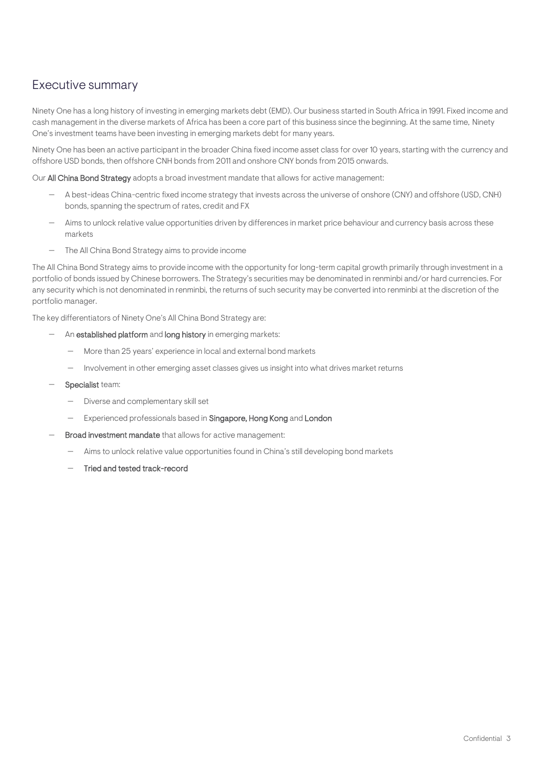## <span id="page-2-0"></span>Executive summary

Ninety One has a long history of investing in emerging markets debt (EMD). Our business started in South Africa in 1991. Fixed income and cash management in the diverse markets of Africa has been a core part of this business since the beginning. At the same time, Ninety One's investment teams have been investing in emerging markets debt for many years.

Ninety One has been an active participant in the broader China fixed income asset class for over 10 years, starting with the currency and offshore USD bonds, then offshore CNH bonds from 2011 and onshore CNY bonds from 2015 onwards.

Our All China Bond Strategy adopts a broad investment mandate that allows for active management:

- A best-ideas China-centric fixed income strategy that invests across the universe of onshore (CNY) and offshore (USD, CNH) bonds, spanning the spectrum of rates, credit and FX
- Aims to unlock relative value opportunities driven by differences in market price behaviour and currency basis across these markets
- The All China Bond Strategy aims to provide income

The All China Bond Strategy aims to provide income with the opportunity for long-term capital growth primarily through investment in a portfolio of bonds issued by Chinese borrowers. The Strategy's securities may be denominated in renminbi and/or hard currencies. For any security which is not denominated in renminbi, the returns of such security may be converted into renminbi at the discretion of the portfolio manager.

The key differentiators of Ninety One's All China Bond Strategy are:

- An established platform and long history in emerging markets:
	- More than 25 years' experience in local and external bond markets
	- Involvement in other emerging asset classes gives us insight into what drives market returns
- Specialist team:
	- Diverse and complementary skill set
	- Experienced professionals based in Singapore, Hong Kong and London
- Broad investment mandate that allows for active management:
	- Aims to unlock relative value opportunities found in China's still developing bond markets
	- Tried and tested track-record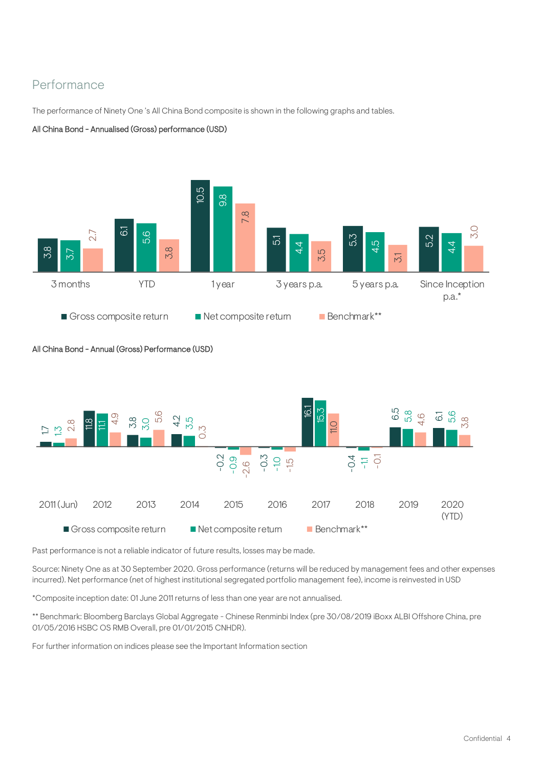## <span id="page-3-0"></span>Performance

The performance of Ninety One 's All China Bond composite is shown in the following graphs and tables.

#### All China Bond - Annualised (Gross) performance (USD)



#### All China Bond - Annual (Gross) Performance (USD)



Past performance is not a reliable indicator of future results, losses may be made.

Source: Ninety One as at 30 September 2020. Gross performance (returns will be reduced by management fees and other expenses incurred). Net performance (net of highest institutional segregated portfolio management fee), income is reinvested in USD

\*Composite inception date: 01 June 2011 returns of less than one year are not annualised.

\*\* Benchmark: Bloomberg Barclays Global Aggregate - Chinese Renminbi Index (pre 30/08/2019 iBoxx ALBI Offshore China, pre 01/05/2016 HSBC OS RMB Overall, pre 01/01/2015 CNHDR).

For further information on indices please see the Important Information section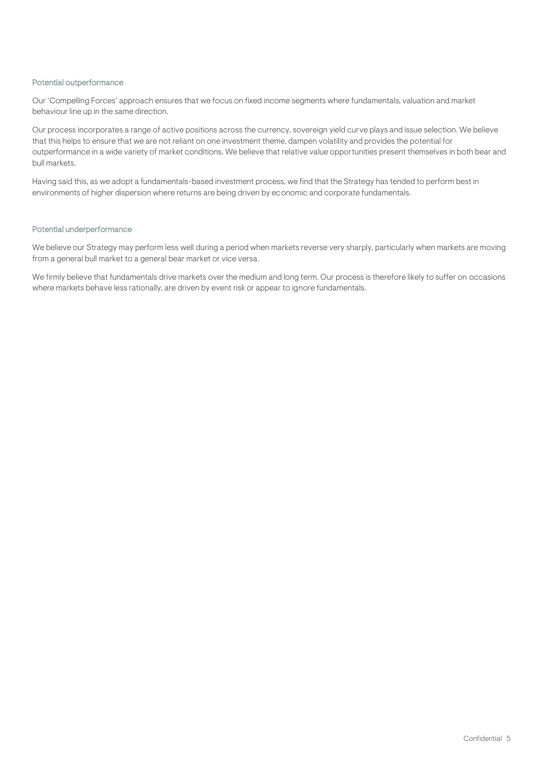#### Potential outperformance

Our 'Compelling Forces' approach ensures that we focus on fixed income segments where fundamentals, valuation and market behaviour line up in the same direction.

Our process incorporates a range of active positions across the currency, sovereign yield curve plays and issue selection. We believe that this helps to ensure that we are not reliant on one investment theme, dampen volatility and provides the potential for outperformance in a wide variety of market conditions. We believe that relative value opportunities present themselves in both bear and bull markets.

Having said this, as we adopt a fundamentals-based investment process, we find that the Strategy has tended to perform best in environments of higher dispersion where returns are being driven by economic and corporate fundamentals.

#### Potential underperformance

We believe our Strategy may perform less well during a period when markets reverse very sharply, particularly when markets are moving from a general bull market to a general bear market or vice versa.

We firmly believe that fundamentals drive markets over the medium and long term. Our process is therefore likely to suffer on occasions where markets behave less rationally, are driven by event risk or appear to ignore fundamentals.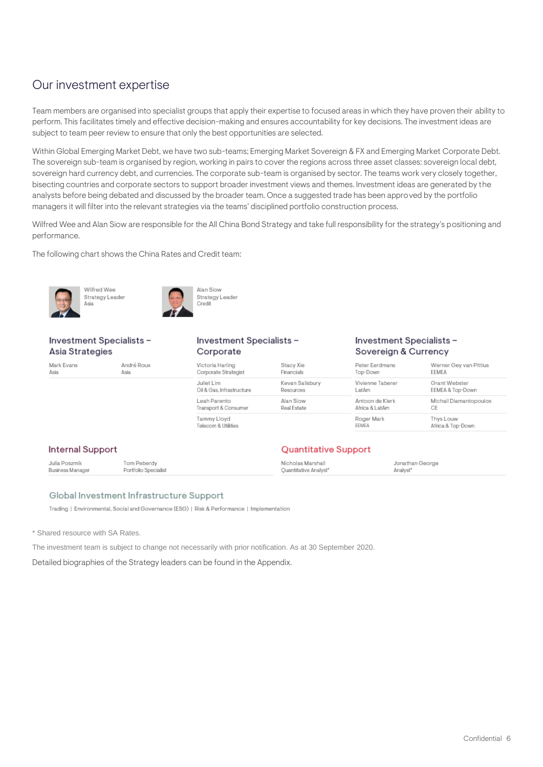## <span id="page-5-0"></span>Our investment expertise

Team members are organised into specialist groups that apply their expertise to focused areas in which they have proven their ability to perform. This facilitates timely and effective decision-making and ensures accountability for key decisions. The investment ideas are subject to team peer review to ensure that only the best opportunities are selected.

Within Global Emerging Market Debt, we have two sub-teams; Emerging Market Sovereign & FX and Emerging Market Corporate Debt. The sovereign sub-team is organised by region, working in pairs to cover the regions across three asset classes: sovereign local debt, sovereign hard currency debt, and currencies. The corporate sub-team is organised by sector. The teams work very closely together, bisecting countries and corporate sectors to support broader investment views and themes. Investment ideas are generated by the analysts before being debated and discussed by the broader team. Once a suggested trade has been approved by the portfolio managers it will filter into the relevant strategies via the teams' disciplined portfolio construction process.

Wilfred Wee and Alan Siow are responsible for the All China Bond Strategy and take full responsibility for the strategy's positioning and performance.

The following chart shows the China Rates and Credit team:





**Alan Siow** Strategy Leader Credit

#### Investment Specialists -Asia Strategies

Wilfred Wee

Strategy Leade

Mark Evans André Roux Asia Asia

Asia

#### Investment Specialists -Corporate

#### Investment Specialists-Sovereign & Currency

| Victoria Harling          | Stacy Xie       | Peter Eerdmans   | Werner Gey van Pittius |
|---------------------------|-----------------|------------------|------------------------|
| Corporate Strategist      | Financials      | Top-Down         | EEMEA                  |
| Juliet Lim                | Kevan Salisbury | Vivienne Taberer | Grant Webster          |
| Oil & Gas, Infrastructure | Resources       | LatAm            | EEMEA & Top-Down       |
| Leah Parento              | Alan Siow       | Antoon de Klerk  | Michail Diamantopoulos |
| Transport & Consumer      | Real Estate     | Africa & LatAm   | СE                     |
| Tammy Lloyd               |                 | Roger Mark       | Thys Louw              |
| Telecom & Utilities       |                 | EEMEA            | Africa & Top-Down      |

**Quantitative Support** 

#### **Internal Support**

Tom Peberdy Julia Poszmik Nicholas Marshall Jonathan George Business Manage Portfolio Specialist **Ouantitative Analyst\*** Analyst<sup>\*</sup>

#### Global Investment Infrastructure Support

Trading | Environmental, Social and Governance (ESG) | Risk & Performance | Implementation

\* Shared resource with SA Rates.

The investment team is subject to change not necessarily with prior notification. As at 30 September 2020.

Detailed biographies of the Strategy leaders can be found in the Appendix.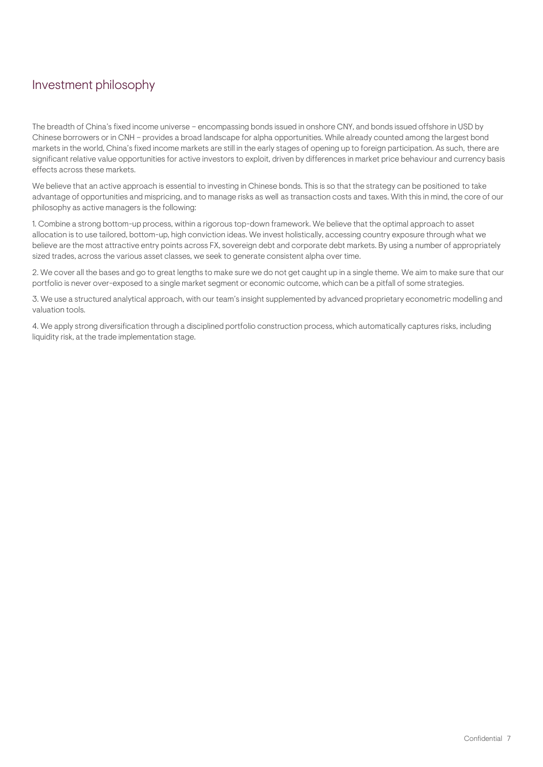# <span id="page-6-0"></span>Investment philosophy

The breadth of China's fixed income universe – encompassing bonds issued in onshore CNY, and bonds issued offshore in USD by Chinese borrowers or in CNH – provides a broad landscape for alpha opportunities. While already counted among the largest bond markets in the world, China's fixed income markets are still in the early stages of opening up to foreign participation. As such, there are significant relative value opportunities for active investors to exploit, driven by differences in market price behaviour and currency basis effects across these markets.

We believe that an active approach is essential to investing in Chinese bonds. This is so that the strategy can be positioned to take advantage of opportunities and mispricing, and to manage risks as well as transaction costs and taxes. With this in mind, the core of our philosophy as active managers is the following:

1. Combine a strong bottom-up process, within a rigorous top-down framework. We believe that the optimal approach to asset allocation is to use tailored, bottom-up, high conviction ideas. We invest holistically, accessing country exposure through what we believe are the most attractive entry points across FX, sovereign debt and corporate debt markets. By using a number of appropriately sized trades, across the various asset classes, we seek to generate consistent alpha over time.

2. We cover all the bases and go to great lengths to make sure we do not get caught up in a single theme. We aim to make sure that our portfolio is never over-exposed to a single market segment or economic outcome, which can be a pitfall of some strategies.

3. We use a structured analytical approach, with our team's insight supplemented by advanced proprietary econometric modelling and valuation tools.

4. We apply strong diversification through a disciplined portfolio construction process, which automatically captures risks, including liquidity risk, at the trade implementation stage.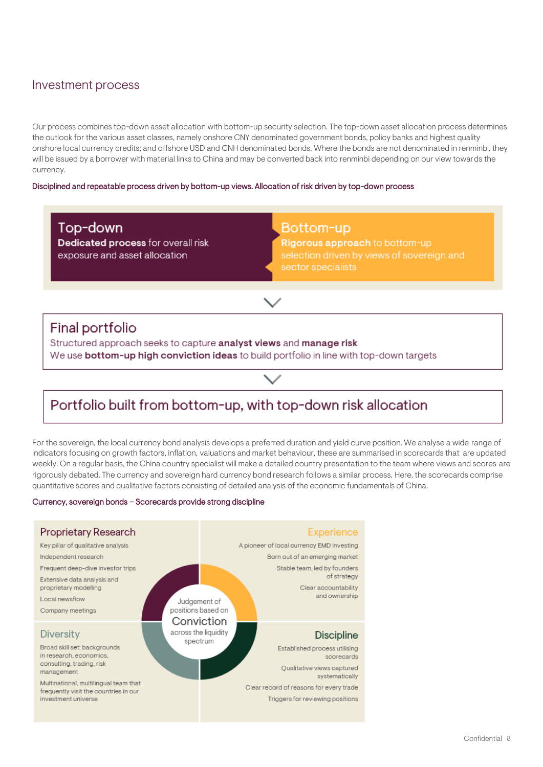## <span id="page-7-0"></span>Investment process

Our process combines top-down asset allocation with bottom-up security selection. The top-down asset allocation process determines the outlook for the various asset classes, namely onshore CNY denominated government bonds, policy banks and highest quality onshore local currency credits; and offshore USD and CNH denominated bonds. Where the bonds are not denominated in renminbi, they will be issued by a borrower with material links to China and may be converted back into renminbi depending on our view towards the currency.

#### Disciplined and repeatable process driven by bottom-up views. Allocation of risk driven by top-down process

Top-down Dedicated process for overall risk exposure and asset allocation

### Bottom-up

Rigorous approach to bottom-up selection driven by views of sovereign and

## Final portfolio

Structured approach seeks to capture analyst views and manage risk We use bottom-up high conviction ideas to build portfolio in line with top-down targets

# Portfolio built from bottom-up, with top-down risk allocation

For the sovereign, the local currency bond analysis develops a preferred duration and yield curve position. We analyse a wide range of indicators focusing on growth factors, inflation, valuations and market behaviour, these are summarised in scorecards that are updated weekly. On a regular basis, the China country specialist will make a detailed country presentation to the team where views and scores are rigorously debated. The currency and sovereign hard currency bond research follows a similar process. Here, the scorecards comprise quantitative scores and qualitative factors consisting of detailed analysis of the economic fundamentals of China.

#### Currency, sovereign bonds – Scorecards provide strong discipline

| Proprietary Research<br>Key pillar of qualitative analysis<br>Independent research<br>Frequent deep-dive investor trips<br>Extensive data analysis and<br>proprietary modelling<br>Local newsflow<br>Company meetings           | Judgement of<br>positions based on<br>Conviction | <b>Experience</b><br>A pioneer of local currency EMD investing<br>Born out of an emerging market<br>Stable team, led by founders<br>of strategy<br>Clear accountability<br>and ownership        |
|---------------------------------------------------------------------------------------------------------------------------------------------------------------------------------------------------------------------------------|--------------------------------------------------|-------------------------------------------------------------------------------------------------------------------------------------------------------------------------------------------------|
| <b>Diversity</b><br>Broad skill set: backgrounds<br>in research, economics,<br>consulting, trading, risk<br>management<br>Multinational, multilingual team that<br>frequently visit the countries in our<br>investment universe | across the liquidity<br>spectrum                 | <b>Discipline</b><br>Established process utilising<br>scorecards<br>Oualitative views captured<br>systematically<br>Clear record of reasons for every trade<br>Triggers for reviewing positions |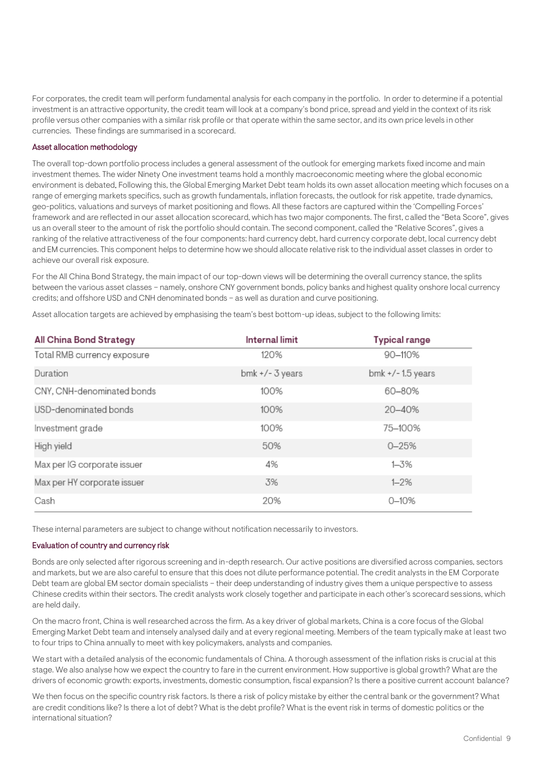For corporates, the credit team will perform fundamental analysis for each company in the portfolio. In order to determine if a potential investment is an attractive opportunity, the credit team will look at a company's bond price, spread and yield in the context of its risk profile versus other companies with a similar risk profile or that operate within the same sector, and its own price levels in other currencies. These findings are summarised in a scorecard.

#### Asset allocation methodology

The overall top-down portfolio process includes a general assessment of the outlook for emerging markets fixed income and main investment themes. The wider Ninety One investment teams hold a monthly macroeconomic meeting where the global economic environment is debated. Following this, the Global Emerging Market Debt team holds its own asset allocation meeting which focuses on a range of emerging markets specifics, such as growth fundamentals, inflation forecasts, the outlook for risk appetite, trade dynamics, geo-politics, valuations and surveys of market positioning and flows. All these factors are captured within the 'Compelling Forces' framework and are reflected in our asset allocation scorecard, which has two major components. The first, called the "Beta Score", gives us an overall steer to the amount of risk the portfolio should contain. The second component, called the "Relative Scores", gives a ranking of the relative attractiveness of the four components: hard currency debt, hard currency corporate debt, local currency debt and EM currencies. This component helps to determine how we should allocate relative risk to the individual asset classes in order to achieve our overall risk exposure.

For the All China Bond Strategy, the main impact of our top-down views will be determining the overall currency stance, the splits between the various asset classes – namely, onshore CNY government bonds, policy banks and highest quality onshore local currency credits; and offshore USD and CNH denominated bonds – as well as duration and curve positioning.

Asset allocation targets are achieved by emphasising the team's best bottom-up ideas, subject to the following limits:

| All China Bond Strategy     | <b>Internal limit</b> | <b>Typical range</b> |
|-----------------------------|-----------------------|----------------------|
| Total RMB currency exposure | 120%                  | 90-110%              |
| Duration                    | $bmk + / - 3$ years   | bmk $+/-$ 1.5 years  |
| CNY, CNH-denominated bonds  | 100%                  | 60-80%               |
| USD-denominated bonds       | 100%                  | 20-40%               |
| Investment grade            | 100%                  | 75-100%              |
| High yield                  | 50%                   | $0 - 25%$            |
| Max per IG corporate issuer | 4%                    | 1-3%                 |
| Max per HY corporate issuer | 3%                    | $1 - 2%$             |
| Cash                        | 20%                   | $0 - 10%$            |

These internal parameters are subject to change without notification necessarily to investors.

#### Evaluation of country and currency risk

Bonds are only selected after rigorous screening and in-depth research. Our active positions are diversified across companies, sectors and markets, but we are also careful to ensure that this does not dilute performance potential. The credit analysts in the EM Corporate Debt team are global EM sector domain specialists – their deep understanding of industry gives them a unique perspective to assess Chinese credits within their sectors. The credit analysts work closely together and participate in each other's scorecard sessions, which are held daily.

On the macro front, China is well researched across the firm. As a key driver of global markets, China is a core focus of the Global Emerging Market Debt team and intensely analysed daily and at every regional meeting. Members of the team typically make at least two to four trips to China annually to meet with key policymakers, analysts and companies.

We start with a detailed analysis of the economic fundamentals of China. A thorough assessment of the inflation risks is crucial at this stage. We also analyse how we expect the country to fare in the current environment. How supportive is global growth? What are the drivers of economic growth: exports, investments, domestic consumption, fiscal expansion? Is there a positive current account balance?

We then focus on the specific country risk factors. Is there a risk of policy mistake by either the central bank or the government? What are credit conditions like? Is there a lot of debt? What is the debt profile? What is the event risk in terms of domestic politics or the international situation?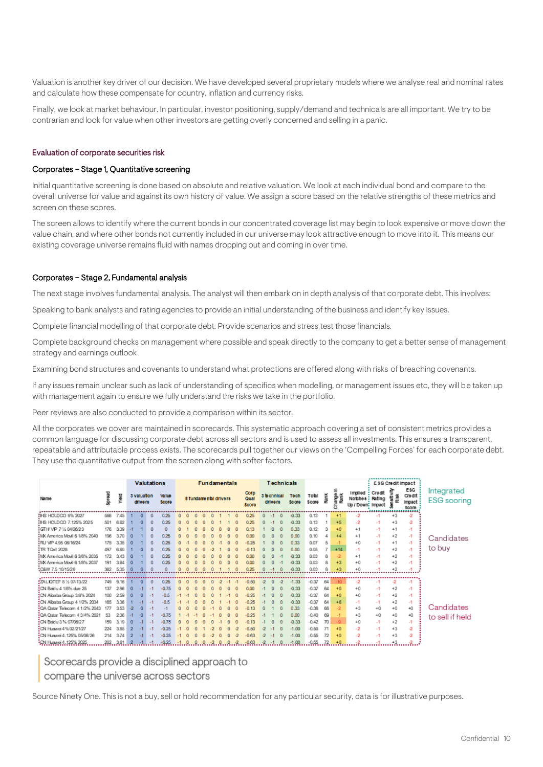Valuation is another key driver of our decision. We have developed several proprietary models where we analyse real and nominal rates and calculate how these compensate for country, inflation and currency risks.

Finally, we look at market behaviour. In particular, investor positioning, supply/demand and technicals are all important. We try to be contrarian and look for value when other investors are getting overly concerned and selling in a panic.

#### Evaluation of corporate securities risk

#### Corporates – Stage 1, Quantitative screening

Initial quantitative screening is done based on absolute and relative valuation. We look at each individual bond and compare to the overall universe for value and against its own history of value. We assign a score based on the relative strengths of these metrics and screen on these scores.

The screen allows to identify where the current bonds in our concentrated coverage list may begin to look expensive or move down the value chain, and where other bonds not currently included in our universe may look attractive enough to move into it. This means our existing coverage universe remains fluid with names dropping out and coming in over time.

#### Corporates – Stage 2, Fundamental analysis

The next stage involves fundamental analysis. The analyst will then embark on in depth analysis of that corporate debt. This involves:

Speaking to bank analysts and rating agencies to provide an initial understanding of the business and identify key issues.

Complete financial modelling of that corporate debt. Provide scenarios and stress test those financials.

Complete background checks on management where possible and speak directly to the company to get a better sense of management strategy and earnings outlook

Examining bond structures and covenants to understand what protections are offered along with risks of breaching covenants.

If any issues remain unclear such as lack of understanding of specifics when modelling, or management issues etc, they will be taken up with management again to ensure we fully understand the risks we take in the portfolio.

Peer reviews are also conducted to provide a comparison within its sector.

All the corporates we cover are maintained in scorecards. This systematic approach covering a set of consistent metrics provides a common language for discussing corporate debt across all sectors and is used to assess all investments. This ensures a transparent, repeatable and attributable process exists. The scorecards pull together our views on the 'Compelling Forces' for each corporate debt. They use the quantitative output from the screen along with softer factors.

|                                        |          |             | <b>Valutations</b> |                        |  |                       |        |              |   | <b>Fundamentals</b>   |   |  |                       |                               | Technicals           |                |                |               |                                                          |      |                | ESG Credit Impact                      |                                  |
|----------------------------------------|----------|-------------|--------------------|------------------------|--|-----------------------|--------|--------------|---|-----------------------|---|--|-----------------------|-------------------------------|----------------------|----------------|----------------|---------------|----------------------------------------------------------|------|----------------|----------------------------------------|----------------------------------|
| Name                                   | Sprea    | <b>NBIA</b> |                    | 3 valuation<br>dilvers |  | Value<br><b>Score</b> |        |              |   | 8 fundamental drivers |   |  | Corp<br>Qual<br>Score | 3 <b>b</b> chnical<br>drivers | Tech<br><b>Score</b> | Total<br>Scare | Rank           | hange<br>Rank | imolied : Credit<br>Notches: Rating<br>Up / Down: Impact |      | €<br>Risk<br>릏 | E\$G<br>Credit<br>Impact:<br>Score<br> | Integrated<br><b>ESG</b> scoring |
| <b>IHS HOLD CO 8% 2027</b>             | 586      | 7.45        |                    |                        |  | 0.25                  |        |              |   |                       |   |  | 0.25                  |                               | $-0.33$              | 0.13           |                | $+1$          |                                                          |      | $+3$           |                                        |                                  |
| <b>IHS HOLDCO 7.125% 2025</b>          | 501      | 6.62        |                    |                        |  | 0.25                  |        |              |   |                       |   |  | 0.25                  |                               | $-0.33$              | 0.13           |                | $+5$          |                                                          | $-1$ | $+3$           | $\mathbf{2}$                           |                                  |
| IGTH/ VIP 7 % 04/26/23                 | 176      | 3.39        |                    |                        |  | n                     |        |              |   |                       |   |  |                       |                               | 0.33                 | 0.12           |                | +0            | $+1$                                                     | $-1$ | $+1$           | -1                                     |                                  |
| MX America Movil 6 1/8% 2040           | 196      | 3.70        |                    |                        |  | 0.25                  |        |              |   |                       |   |  | nœ                    |                               | 0.00                 | 0.10           | 4              | $+4$          | $+1$                                                     | $-1$ | $+2$           | -1                                     | Candidates                       |
| IRU MP 4.95 06/16/24                   | 175      | 3.35        |                    |                        |  | 0.25                  |        |              |   |                       |   |  |                       |                               | 0.33                 | 0.07           | 5              |               | $+0$                                                     | $-1$ | $+1$           | -1                                     |                                  |
| <b>ITR TOell 2028</b>                  | 497      | 6.60        |                    |                        |  | 0.25                  |        |              |   |                       |   |  |                       |                               | 0.00                 | 0.05           | $\overline{z}$ | $+14$         | $-1$                                                     | -1   | $+2$           | -1                                     | to buy                           |
| MX America Movil 6 3/8% 2035           | 172      | 3.43        |                    |                        |  | 0.25                  |        |              |   |                       |   |  |                       |                               | $-0.33$              | 0.03           | 8              |               | $+1$                                                     | $-1$ | $+2$           | -1                                     |                                  |
| : MX America Movil 6 1/8% 2037         | 191      | 3.64        | o                  |                        |  | 0.25                  |        |              |   |                       |   |  | a oa                  |                               | $-0.33$              | 0.03           | 8              | 43            | $+0$                                                     | $-1$ | $+2$           | -1                                     |                                  |
| :C&W 7.5 10/15/26                      | 362      | 5.35        |                    |                        |  | n                     |        |              |   |                       |   |  | 0.25                  |                               | $-0.33$              | 0.03           |                |               | $+0$                                                     |      |                |                                        |                                  |
|                                        |          |             |                    |                        |  |                       |        |              |   |                       |   |  |                       |                               |                      |                |                |               |                                                          |      |                |                                        |                                  |
| ZALIQTEF 8 % 07/13/22                  | 749      | 9.16        |                    |                        |  | 0.25                  |        |              |   |                       |   |  | 0.50                  |                               | $-1.33$              | $-0.37$        | 64             |               | $-2$                                                     |      |                |                                        |                                  |
| : CN Baidu 4 1/8% due 25               | 137      | 2.96        |                    |                        |  |                       |        |              |   |                       |   |  |                       |                               | $-0.33$              | $-0.37$        | 64             | 40            | $+0$                                                     | -1   | $+2$           | -1                                     |                                  |
| ON Albaba Group 3.6% 2024              | 100      | 2.59        |                    |                        |  |                       |        |              |   |                       |   |  |                       |                               | $-0.33$              | $-0.37$        | 64             | +0            | $+0$                                                     | $-1$ | $+2$           | -1                                     |                                  |
| ON Albaba Group 4 1/2% 2034            | 165      | 3.36        |                    |                        |  |                       |        |              |   |                       |   |  |                       |                               | $-0.33$              | $-0.37$        | 64             | +6            | $-1$                                                     | -1   | $+2$           | -1                                     |                                  |
| :QA Qatar Telecom 4 1/2% 2043          | 177      | 3.53        | -2                 |                        |  |                       |        |              |   |                       |   |  |                       |                               | 0.33                 | $-0.38$        | 68             |               | $+3$                                                     | $+0$ | $+0$           | $+0$                                   | Candidates                       |
| :QA Qatar Telecom 4 3/4% 2021          | 53       | 2.36        |                    |                        |  | $-0.75$               |        |              |   |                       |   |  |                       |                               | 0.00                 | $-0.40$        | 69             |               | $+3$                                                     | $+0$ | $+0$           | $+0$                                   | to sell if held                  |
| CN Baidu 3 % 07/06/27                  | 159      | 3.19        | O                  |                        |  | $-0.75$               |        |              |   |                       |   |  |                       |                               | $-0.33$              | $-0.42$        | 70             | ٠Q            | $+0$                                                     | $-1$ | $+2$           | $-1$                                   |                                  |
| <sup>2</sup> CN Huawei 4% 02/21/27     | 224      | 3.85        | 2                  |                        |  | $-0.25$               |        |              |   |                       |   |  |                       |                               | $-1.00$              | $-0.50$        | 71             | 40            | $-2$                                                     | $-1$ | $+3$           | $\mathbf{r}$                           |                                  |
| <sup>2</sup> CN Huawei 4.125% 05/06/26 | 214      | 3.74        | 2                  |                        |  | $-0.25$               |        |              |   |                       |   |  | 0.63                  |                               | $-1.00$              | $-0.55$        | 72             | +0            | $-2$                                                     | $-1$ | $+3$           | $\mathcal{L}$                          |                                  |
| CN Huawei 4.125% 2025                  | .2023.67 | 3.61        | -2                 | $-1 - 1$               |  | .0.25.                | $-1$ 0 | $\mathbf{0}$ | 0 |                       | 0 |  | $-0.63$               | $-2$ $-1$ 0                   | $-1.00$              | $-0.55$        | 72             | $+0$          |                                                          |      | $+3$           |                                        |                                  |

Scorecards provide a disciplined approach to

compare the universe across sectors

Source Ninety One. This is not a buy, sell or hold recommendation for any particular security, data is for illustrative purposes.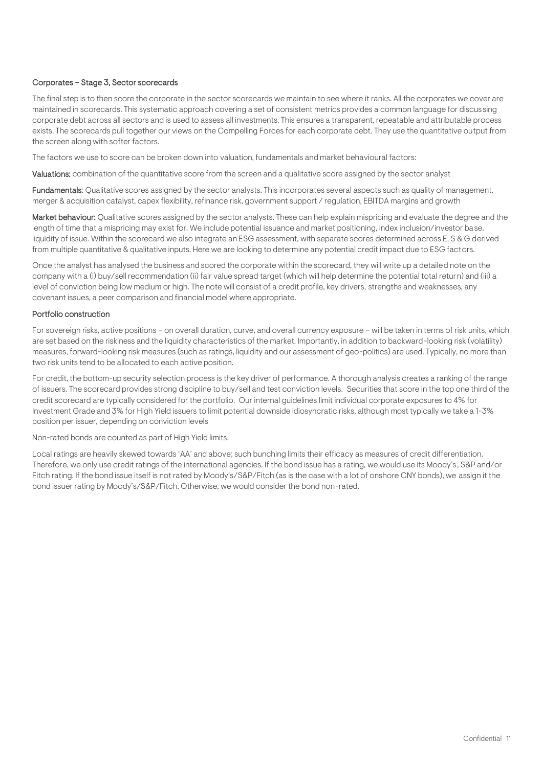#### Corporates – Stage 3, Sector scorecards

The final step is to then score the corporate in the sector scorecards we maintain to see where it ranks. All the corporates we cover are maintained in scorecards. This systematic approach covering a set of consistent metrics provides a common language for discussing corporate debt across all sectors and is used to assess all investments. This ensures a transparent, repeatable and attributable process exists. The scorecards pull together our views on the Compelling Forces for each corporate debt. They use the quantitative output from the screen along with softer factors.

The factors we use to score can be broken down into valuation, fundamentals and market behavioural factors:

Valuations: combination of the quantitative score from the screen and a qualitative score assigned by the sector analyst

Fundamentals: Qualitative scores assigned by the sector analysts. This incorporates several aspects such as quality of management, merger & acquisition catalyst, capex flexibility, refinance risk, government support / regulation, EBITDA margins and growth

Market behaviour: Qualitative scores assigned by the sector analysts. These can help explain mispricing and evaluate the degree and the length of time that a mispricing may exist for. We include potential issuance and market positioning, index inclusion/investor base, liquidity of issue. Within the scorecard we also integrate an ESG assessment, with separate scores determined across E, S & G derived from multiple quantitative & qualitative inputs. Here we are looking to determine any potential credit impact due to ESG factors.

Once the analyst has analysed the business and scored the corporate within the scorecard, they will write up a detailed note on the company with a (i) buy/sell recommendation (ii) fair value spread target (which will help determine the potential total return) and (iii) a level of conviction being low medium or high. The note will consist of a credit profile, key drivers, strengths and weaknesses, any covenant issues, a peer comparison and financial model where appropriate.

#### Portfolio construction

For sovereign risks, active positions – on overall duration, curve, and overall currency exposure – will be taken in terms of risk units, which are set based on the riskiness and the liquidity characteristics of the market. Importantly, in addition to backward-looking risk (volatility) measures, forward-looking risk measures (such as ratings, liquidity and our assessment of geo-politics) are used. Typically, no more than two risk units tend to be allocated to each active position.

For credit, the bottom-up security selection process is the key driver of performance. A thorough analysis creates a ranking of the range of issuers. The scorecard provides strong discipline to buy/sell and test conviction levels. Securities that score in the top one third of the credit scorecard are typically considered for the portfolio. Our internal guidelines limit individual corporate exposures to 4% for Investment Grade and 3% for High Yield issuers to limit potential downside idiosyncratic risks, although most typically we take a 1-3% position per issuer, depending on conviction levels

Non-rated bonds are counted as part of High Yield limits.

Local ratings are heavily skewed towards 'AA' and above; such bunching limits their efficacy as measures of credit differentiation. Therefore, we only use credit ratings of the international agencies. If the bond issue has a rating, we would use its Moody's, S&P and/or Fitch rating. If the bond issue itself is not rated by Moody's/S&P/Fitch (as is the case with a lot of onshore CNY bonds), we assign it the bond issuer rating by Moody's/S&P/Fitch. Otherwise, we would consider the bond non-rated.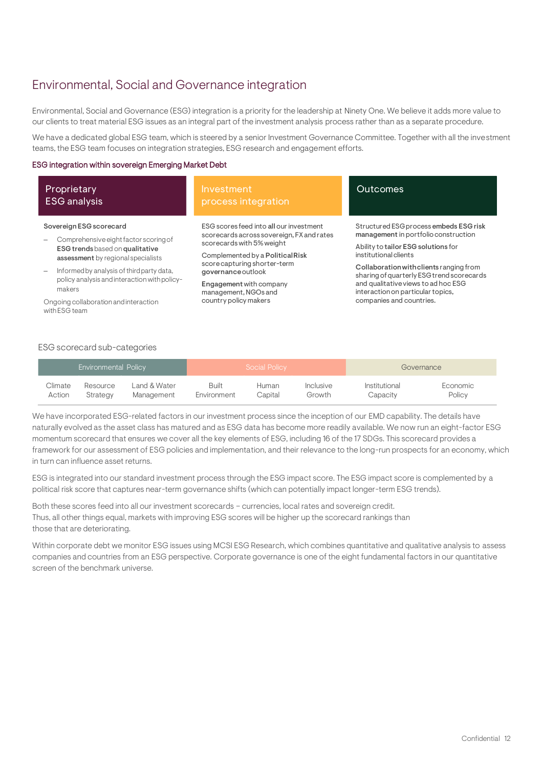## <span id="page-11-0"></span>Environmental, Social and Governance integration

Environmental, Social and Governance (ESG) integration is a priority for the leadership at Ninety One. We believe it adds more value to our clients to treat material ESG issues as an integral part of the investment analysis process rather than as a separate procedure.

We have a dedicated global ESG team, which is steered by a senior Investment Governance Committee. Together with all the investment teams, the ESG team focuses on integration strategies, ESG research and engagement efforts.

#### ESG integration within sovereign Emerging Market Debt

| Proprietary<br><b>ESG</b> analysis                                    | Investment<br>process integration                                                    | <b>Outcomes</b>                                                                                                       |  |  |  |
|-----------------------------------------------------------------------|--------------------------------------------------------------------------------------|-----------------------------------------------------------------------------------------------------------------------|--|--|--|
| Sovereign ESG scorecard                                               | ESG scores feed into all our investment<br>scorecards across sovereign, FX and rates | Structured ESG process embeds ESG risk<br>management in portfolio construction<br>Ability to tailor ESG solutions for |  |  |  |
| Comprehensive eight factor scoring of                                 | scorecards with 5% weight                                                            |                                                                                                                       |  |  |  |
| ESG trends based on qualitative<br>assessment by regional specialists | Complemented by a Political Risk                                                     | institutional clients                                                                                                 |  |  |  |
| Informed by analysis of third party data,                             | score capturing shorter-term<br>governance outlook                                   | Collaboration with clients ranging from<br>sharing of quarterly ESG trend scorecards                                  |  |  |  |
| policy analysis and interaction with policy-<br>makers                | Engagement with company<br>management, NGOs and                                      | and qualitative views to ad hoc ESG<br>interaction on particular topics,                                              |  |  |  |
| Ongoing collaboration and interaction<br>with ESG team                | country policy makers                                                                | companies and countries.                                                                                              |  |  |  |

#### ESG scorecard sub-categories

|         | <b>Environmental Policy</b> |              |             | Social Policy |           | Governance    |          |  |  |
|---------|-----------------------------|--------------|-------------|---------------|-----------|---------------|----------|--|--|
| Climate | Resource                    | Land & Water | Built       | Human         | Inclusive | Institutional | Economic |  |  |
| Action  | Strategy                    | Management   | Environment | Capital       | Growth    | Capacity      | Policy   |  |  |

We have incorporated ESG-related factors in our investment process since the inception of our EMD capability. The details have naturally evolved as the asset class has matured and as ESG data has become more readily available. We now run an eight-factor ESG momentum scorecard that ensures we cover all the key elements of ESG, including 16 of the 17 SDGs. This scorecard provides a framework for our assessment of ESG policies and implementation, and their relevance to the long-run prospects for an economy, which in turn can influence asset returns.

ESG is integrated into our standard investment process through the ESG impact score. The ESG impact score is complemented by a political risk score that captures near-term governance shifts (which can potentially impact longer-term ESG trends).

Both these scores feed into all our investment scorecards – currencies, local rates and sovereign credit. Thus, all other things equal, markets with improving ESG scores will be higher up the scorecard rankings than those that are deteriorating.

Within corporate debt we monitor ESG issues using MCSI ESG Research, which combines quantitative and qualitative analysis to assess companies and countries from an ESG perspective. Corporate governance is one of the eight fundamental factors in our quantitative screen of the benchmark universe.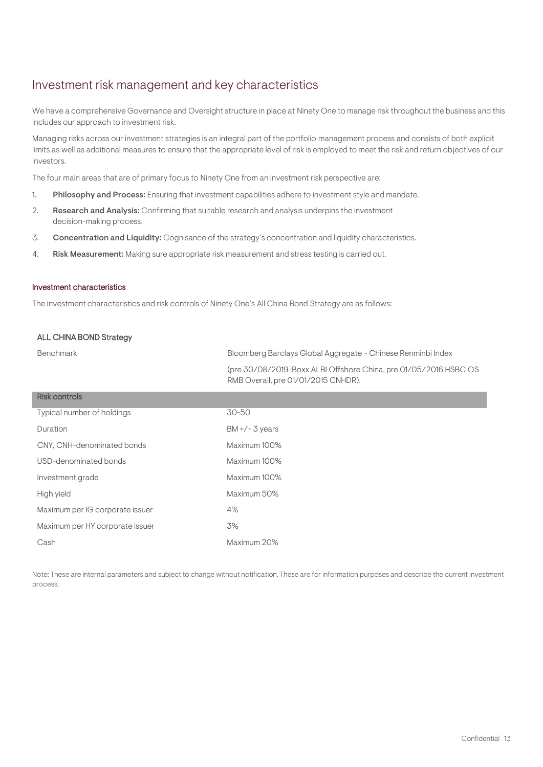## Investment risk management and key characteristics

We have a comprehensive Governance and Oversight structure in place at Ninety One to manage risk throughout the business and this includes our approach to investment risk.

Managing risks across our investment strategies is an integral part of the portfolio management process and consists of both explicit limits as well as additional measures to ensure that the appropriate level of risk is employed to meet the risk and return objectives of our investors.

The four main areas that are of primary focus to Ninety One from an investment risk perspective are:

- 1. Philosophy and Process: Ensuring that investment capabilities adhere to investment style and mandate.
- 2. Research and Analysis: Confirming that suitable research and analysis underpins the investment decision-making process.
- 3. Concentration and Liquidity: Cognisance of the strategy's concentration and liquidity characteristics.
- 4. Risk Measurement: Making sure appropriate risk measurement and stress testing is carried out.

#### Investment characteristics

The investment characteristics and risk controls of Ninety One's All China Bond Strategy are as follows:

#### ALL CHINA BOND Strategy

| Benchmark                       | Bloomberg Barclays Global Aggregate - Chinese Renminbi Index                                             |
|---------------------------------|----------------------------------------------------------------------------------------------------------|
|                                 | (pre 30/08/2019 iBoxx ALBI Offshore China, pre 01/05/2016 HSBC OS<br>RMB Overall, pre 01/01/2015 CNHDR). |
| <b>Risk controls</b>            |                                                                                                          |
| Typical number of holdings      | 30-50                                                                                                    |
| Duration                        | $BM + / - 3 years$                                                                                       |
| CNY, CNH-denominated bonds      | Maximum 100%                                                                                             |
| USD-denominated bonds           | Maximum 100%                                                                                             |
| Investment grade                | Maximum 100%                                                                                             |
| High yield                      | Maximum 50%                                                                                              |
| Maximum per IG corporate issuer | 4%                                                                                                       |
| Maximum per HY corporate issuer | 3%                                                                                                       |
| Cash                            | Maximum 20%                                                                                              |

Note: These are internal parameters and subject to change without notification. These are for information purposes and describe the current investment process.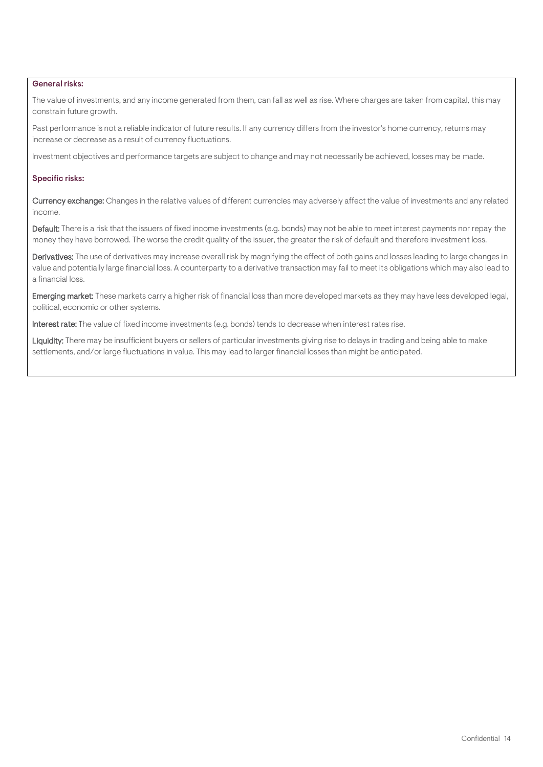#### General risks:

The value of investments, and any income generated from them, can fall as well as rise. Where charges are taken from capital, this may constrain future growth.

Past performance is not a reliable indicator of future results. If any currency differs from the investor's home currency, returns may increase or decrease as a result of currency fluctuations.

Investment objectives and performance targets are subject to change and may not necessarily be achieved, losses may be made.

#### Specific risks:

Currency exchange: Changes in the relative values of different currencies may adversely affect the value of investments and any related income.

Default: There is a risk that the issuers of fixed income investments (e.g. bonds) may not be able to meet interest payments nor repay the money they have borrowed. The worse the credit quality of the issuer, the greater the risk of default and therefore investment loss.

Derivatives: The use of derivatives may increase overall risk by magnifying the effect of both gains and losses leading to large changes in value and potentially large financial loss. A counterparty to a derivative transaction may fail to meet its obligations which may also lead to a financial loss.

Emerging market: These markets carry a higher risk of financial loss than more developed markets as they may have less developed legal, political, economic or other systems.

Interest rate: The value of fixed income investments (e.g. bonds) tends to decrease when interest rates rise.

Liquidity: There may be insufficient buyers or sellers of particular investments giving rise to delays in trading and being able to make settlements, and/or large fluctuations in value. This may lead to larger financial losses than might be anticipated.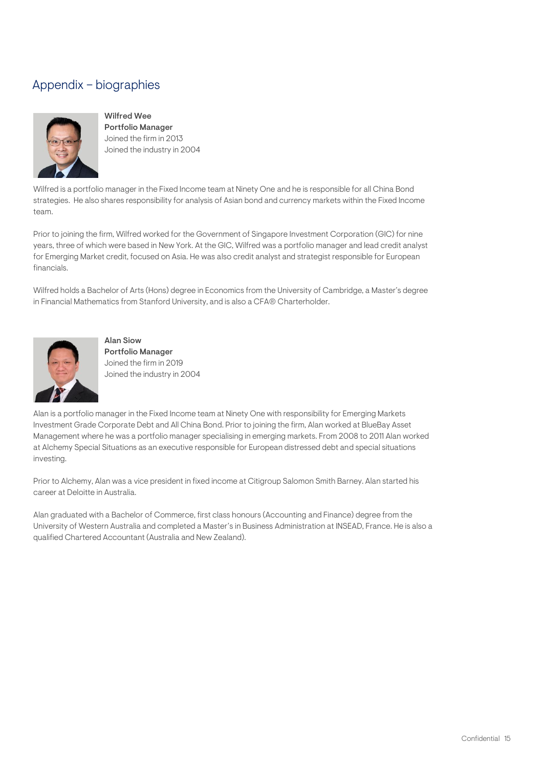# <span id="page-14-0"></span>Appendix – biographies



Wilfred Wee Portfolio Manager Joined the firm in 2013 Joined the industry in 2004

Wilfred is a portfolio manager in the Fixed Income team at Ninety One and he is responsible for all China Bond strategies. He also shares responsibility for analysis of Asian bond and currency markets within the Fixed Income team.

Prior to joining the firm, Wilfred worked for the Government of Singapore Investment Corporation (GIC) for nine years, three of which were based in New York. At the GIC, Wilfred was a portfolio manager and lead credit analyst for Emerging Market credit, focused on Asia. He was also credit analyst and strategist responsible for European financials.

Wilfred holds a Bachelor of Arts (Hons) degree in Economics from the University of Cambridge, a Master's degree in Financial Mathematics from Stanford University, and is also a CFA® Charterholder.



Alan Siow Portfolio Manager Joined the firm in 2019 Joined the industry in 2004

Alan is a portfolio manager in the Fixed Income team at Ninety One with responsibility for Emerging Markets Investment Grade Corporate Debt and All China Bond. Prior to joining the firm, Alan worked at BlueBay Asset Management where he was a portfolio manager specialising in emerging markets. From 2008 to 2011 Alan worked at Alchemy Special Situations as an executive responsible for European distressed debt and special situations investing.

Prior to Alchemy, Alan was a vice president in fixed income at Citigroup Salomon Smith Barney. Alan started his career at Deloitte in Australia.

Alan graduated with a Bachelor of Commerce, first class honours (Accounting and Finance) degree from the University of Western Australia and completed a Master's in Business Administration at INSEAD, France. He is also a qualified Chartered Accountant (Australia and New Zealand).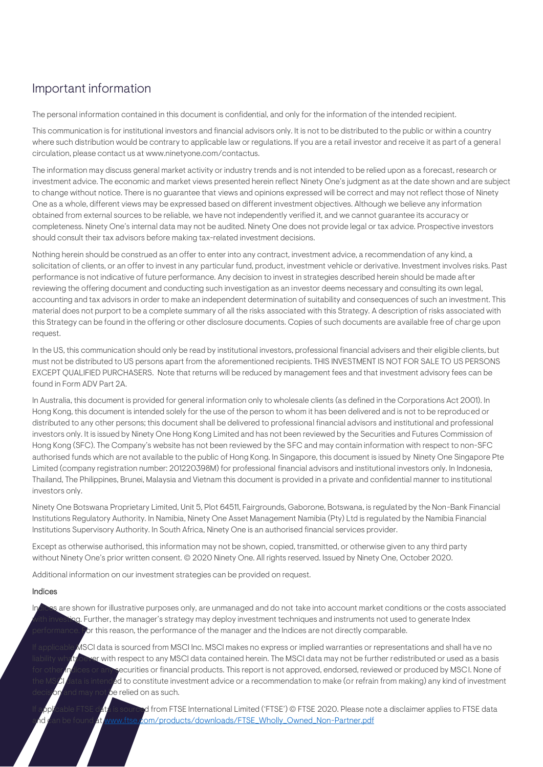# Important information

The personal information contained in this document is confidential, and only for the information of the intended recipient.

This communication is for institutional investors and financial advisors only. It is not to be distributed to the public or within a country where such distribution would be contrary to applicable law or regulations. If you are a retail investor and receive it as part of a general circulation, please contact us at www.ninetyone.com/contactus.

The information may discuss general market activity or industry trends and is not intended to be relied upon as a forecast, research or investment advice. The economic and market views presented herein reflect Ninety One's judgment as at the date shown and are subject to change without notice. There is no guarantee that views and opinions expressed will be correct and may not reflect those of Ninety One as a whole, different views may be expressed based on different investment objectives. Although we believe any information obtained from external sources to be reliable, we have not independently verified it, and we cannot guarantee its accuracy or completeness. Ninety One's internal data may not be audited. Ninety One does not provide legal or tax advice. Prospective investors should consult their tax advisors before making tax-related investment decisions.

Nothing herein should be construed as an offer to enter into any contract, investment advice, a recommendation of any kind, a solicitation of clients, or an offer to invest in any particular fund, product, investment vehicle or derivative. Investment involves risks. Past performance is not indicative of future performance. Any decision to invest in strategies described herein should be made after reviewing the offering document and conducting such investigation as an investor deems necessary and consulting its own legal, accounting and tax advisors in order to make an independent determination of suitability and consequences of such an investment. This material does not purport to be a complete summary of all the risks associated with this Strategy. A description of risks associated with this Strategy can be found in the offering or other disclosure documents. Copies of such documents are available free of charge upon request.

In the US, this communication should only be read by institutional investors, professional financial advisers and their eligible clients, but must not be distributed to US persons apart from the aforementioned recipients. THIS INVESTMENT IS NOT FOR SALE TO US PERSONS EXCEPT QUALIFIED PURCHASERS. Note that returns will be reduced by management fees and that investment advisory fees can be found in Form ADV Part 2A.

In Australia, this document is provided for general information only to wholesale clients (as defined in the Corporations Act 2001). In Hong Kong, this document is intended solely for the use of the person to whom it has been delivered and is not to be reproduced or distributed to any other persons; this document shall be delivered to professional financial advisors and institutional and professional investors only. It is issued by Ninety One Hong Kong Limited and has not been reviewed by the Securities and Futures Commission of Hong Kong (SFC). The Company's website has not been reviewed by the SFC and may contain information with respect to non-SFC authorised funds which are not available to the public of Hong Kong. In Singapore, this document is issued by Ninety One Singapore Pte Limited (company registration number: 201220398M) for professional financial advisors and institutional investors only. In Indonesia, Thailand, The Philippines, Brunei, Malaysia and Vietnam this document is provided in a private and confidential manner to institutional investors only.

Ninety One Botswana Proprietary Limited, Unit 5, Plot 64511, Fairgrounds, Gaborone, Botswana, is regulated by the Non-Bank Financial Institutions Regulatory Authority. In Namibia, Ninety One Asset Management Namibia (Pty) Ltd is regulated by the Namibia Financial Institutions Supervisory Authority. In South Africa, Ninety One is an authorised financial services provider.

Except as otherwise authorised, this information may not be shown, copied, transmitted, or otherwise given to any third party without Ninety One's prior written consent. © 2020 Ninety One. All rights reserved. Issued by Ninety One, October 2020.

Additional information on our investment strategies can be provided on request.

#### Indices

Indices are shown for illustrative purposes only, are unmanaged and do not take into account market conditions or the costs associated g. Further, the manager's strategy may deploy investment techniques and instruments not used to generate Index for this reason, the performance of the manager and the Indices are not directly comparable.

If applicable MSCI data is sourced from MSCI Inc. MSCI makes no express or implied warranties or representations and shall have no with respect to any MSCI data contained herein. The MSCI data may not be further redistributed or used as a basis ecurities or financial products. This report is not approved, endorsed, reviewed or produced by MSCI. None of  $\overline{\text{F}}$ d to constitute investment advice or a recommendation to make (or refrain from making) any kind of investment be relied on as such.

 $\rm d$  from FTSE International Limited ('FTSE') © FTSE 2020. Please note a disclaimer applies to FTSE data id can be found at www.ftse.c<mark>om/products/downloads/FTSE\_Wholly\_Owned\_Non-Partner.pdf</mark>